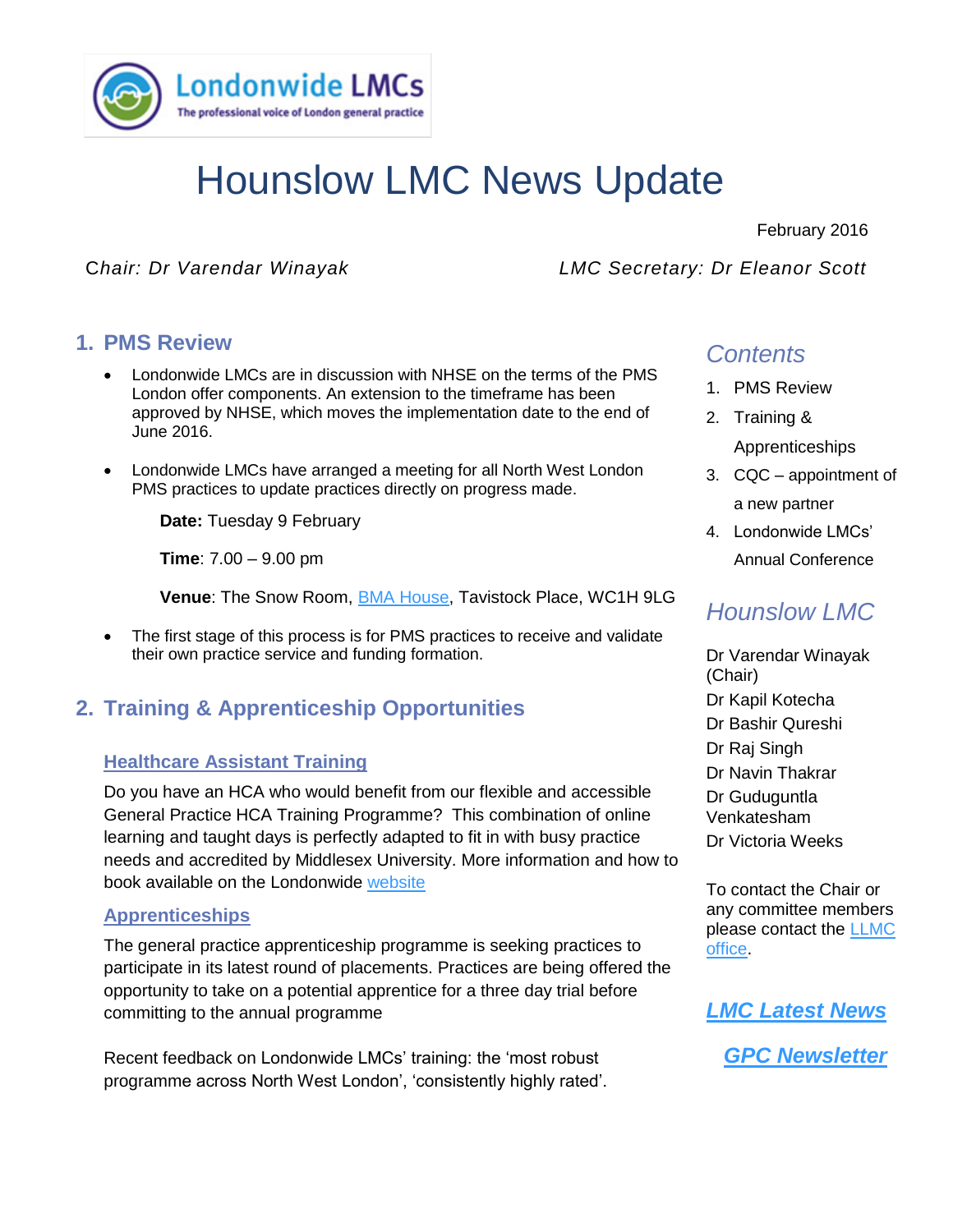

# Hounslow LMC News Update

February 2016

C*hair: Dr Varendar Winayak LMC Secretary: Dr Eleanor Scott*

## **1. PMS Review**

- Londonwide LMCs are in discussion with NHSE on the terms of the PMS<br>London effer companents. An extension to the timeframe has been London offer components. An extension to the timeframe has been approved by NHSE, which moves the implementation date to the end of June 2016.
	- Londonwide LMCs have arranged a meeting for all North West London PMS practices to update practices directly on progress made.

**Date:** Tuesday 9 February

**Time**: 7.00 – 9.00 pm

**Venue**: The Snow Room, [BMA House,](http://www.bmahouse.org.uk/contact-or-find-us) Tavistock Place, WC1H 9LG

• The first stage of this process is for PMS practices to receive and validate their own practice service and funding formation.

# **2. Training & Apprenticeship Opportunities**

## **Healthcare Assistant Training**

Do you have an HCA who would benefit from our flexible and accessible General Practice HCA Training Programme? This combination of online learning and taught days is perfectly adapted to fit in with busy practice needs and accredited by Middlesex University. More information and how to book available on the Londonwide [website](http://www.lmc.org.uk/visageimages/LEL/HCA/2015-08-21%20HCA%20Flyer%20a5%20final.pdf)

#### **Apprenticeships**

The general practice apprenticeship programme is seeking practices to participate in its latest round of placements. Practices are being offered the opportunity to take on a potential apprentice for a three day trial before committing to the annual programme

Recent feedback on Londonwide LMCs' training: the 'most robust programme across North West London', 'consistently highly rated'.

# *Contents*

- 1. PMS Review
- 2. Training & Apprenticeships
- 3. CQC appointment of a new partner
- 4. Londonwide LMCs' Annual Conference

# *Hounslow LMC*

Dr Varendar Winayak (Chair) Dr Kapil Kotecha Dr Bashir Qureshi Dr Raj Singh Dr Navin Thakrar Dr Guduguntla Venkatesham Dr Victoria Weeks

To contact the Chair or any committee members please contact the [LLMC](mailto:esther.bennett@lmc.org.uk)  [office.](mailto:esther.bennett@lmc.org.uk)



*[GPC Newsletter](http://www.lmc.org.uk/page.php?id=36)*